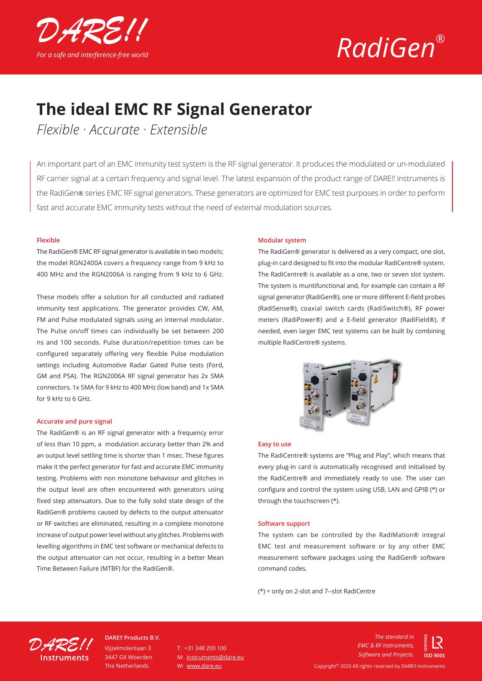



## **The ideal EMC RF Signal Generator**

*Flexible · Accurate · Extensible*

An important part of an EMC immunity test system is the RF signal generator. It produces the modulated or un-modulated RF carrier signal at a certain frequency and signal level. The latest expansion of the product range of DARE!! Instruments is the RadiGen® series EMC RF signal generators. These generators are optimized for EMC test purposes in order to perform fast and accurate EMC immunity tests without the need of external modulation sources.

#### **Flexible**

The RadiGen® EMC RF signal generator is available in two models; the model RGN2400A covers a frequency range from 9 kHz to 400 MHz and the RGN2006A is ranging from 9 kHz to 6 GHz.

These models offer a solution for all conducted and radiated immunity test applications. The generator provides CW, AM, FM and Pulse modulated signals using an internal modulator. The Pulse on/off times can individually be set between 200 ns and 100 seconds. Pulse duration/repetition times can be configured separately offering very flexible Pulse modulation settings including Automotive Radar Gated Pulse tests (Ford, GM and PSA). The RGN2006A RF signal generator has 2x SMA connectors, 1x SMA for 9 kHz to 400 MHz (low band) and 1x SMA for 9 kHz to 6 GHz.

#### **Accurate and pure signal**

The RadiGen® is an RF signal generator with a frequency error of less than 10 ppm, a modulation accuracy better than 2% and an output level settling time is shorter than 1 msec. These figures make it the perfect generator for fast and accurate EMC immunity testing. Problems with non monotone behaviour and glitches in the output level are often encountered with generators using fixed step attenuators. Due to the fully solid state design of the RadiGen® problems caused by defects to the output attenuator or RF switches are eliminated, resulting in a complete monotone increase of output power level without any glitches. Problems with levelling algorithms in EMC test software or mechanical defects to the output attenuator can not occur, resulting in a better Mean Time Between Failure (MTBF) for the RadiGen®.

#### **Modular system**

The RadiGen® generator is delivered as a very compact, one slot, plug-in card designed to fit into the modular RadiCentre® system. The RadiCentre® is available as a one, two or seven slot system. The system is muntifunctional and, for example can contain a RF signal generator (RadiGen®), one or more different E-field probes (RadiSense®), coaxial switch cards (RadiSwitch®), RF power meters (RadiPower®) and a E-field generator (RadiField®). If needed, even larger EMC test systems can be built by combining multiple RadiCentre® systems.



#### **Easy to use**

The RadiCentre® systems are "Plug and Play", which means that every plug-in card is automatically recognised and initialised by the RadiCentre® and immediately ready to use. The user can configure and control the system using USB, LAN and GPIB (\*) or through the touchscreen (\*).

#### **Software support**

The system can be controlled by the RadiMation® integral EMC test and measurement software or by any other EMC measurement software packages using the RadiGen® software command codes.

(\*) = only on 2-slot and 7--slot RadiCentre



Vijzelmolenlaan 3 3447 GX Woerden The Netherlands **DARE!! Products B.V.**

 $T: +31, 348, 200, 100$ M: instruments@dare.eu W: www.dare.eu

*The standard in EMC & RF Instruments, Software and Projects.*